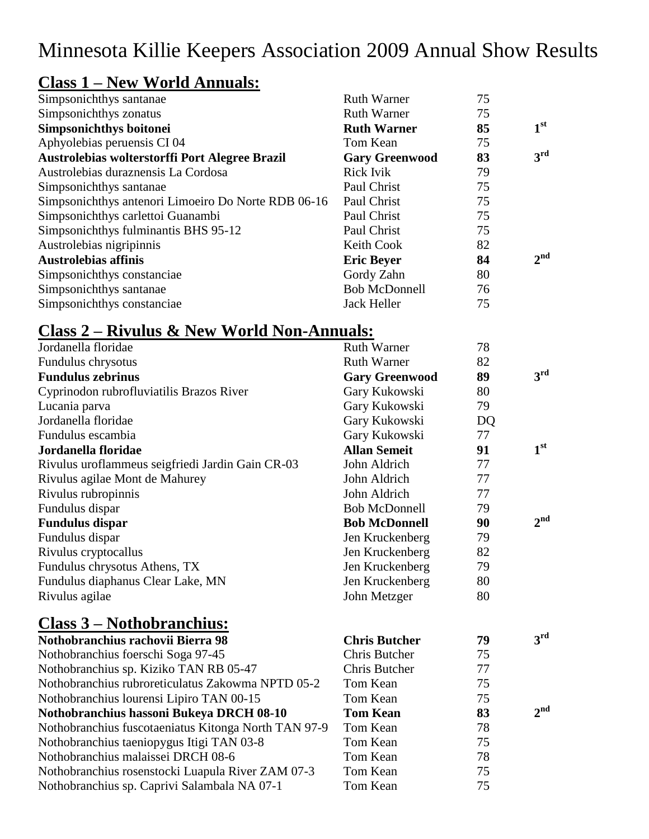# Minnesota Killie Keepers Association 2009 Annual Show Results

# **Class 1 – New World Annuals:**

| Simpsonichthys santanae                             | <b>Ruth Warner</b>    | 75 |                 |
|-----------------------------------------------------|-----------------------|----|-----------------|
| Simpsonichthys zonatus                              | <b>Ruth Warner</b>    | 75 |                 |
| Simpsonichthys boitonei                             | <b>Ruth Warner</b>    | 85 | 1 <sup>st</sup> |
| Aphyolebias peruensis CI 04                         | Tom Kean              | 75 |                 |
| Austrolebias wolterstorffi Port Alegree Brazil      | <b>Gary Greenwood</b> | 83 | 3 <sup>rd</sup> |
| Austrolebias duraznensis La Cordosa                 | <b>Rick Ivik</b>      | 79 |                 |
| Simpsonichthys santanae                             | Paul Christ           | 75 |                 |
| Simpsonichthys antenori Limoeiro Do Norte RDB 06-16 | Paul Christ           | 75 |                 |
| Simpsonichthys carlettoi Guanambi                   | Paul Christ           | 75 |                 |
| Simpsonichthys fulminantis BHS 95-12                | Paul Christ           | 75 |                 |
| Austrolebias nigripinnis                            | <b>Keith Cook</b>     | 82 |                 |
| <b>Austrolebias affinis</b>                         | <b>Eric Beyer</b>     | 84 | $2^{\text{nd}}$ |
| Simpsonichthys constanciae                          | Gordy Zahn            | 80 |                 |
| Simpsonichthys santanae                             | <b>Bob McDonnell</b>  | 76 |                 |
| Simpsonichthys constanciae                          | Jack Heller           | 75 |                 |

## **Class 2 – Rivulus & New World Non-Annuals:**

| Jordanella floridae                                  | <b>Ruth Warner</b>    | 78 |                 |
|------------------------------------------------------|-----------------------|----|-----------------|
| Fundulus chrysotus                                   | <b>Ruth Warner</b>    | 82 |                 |
| <b>Fundulus zebrinus</b>                             | <b>Gary Greenwood</b> | 89 | 3 <sup>rd</sup> |
| Cyprinodon rubrofluviatilis Brazos River             | Gary Kukowski         | 80 |                 |
| Lucania parva                                        | Gary Kukowski         | 79 |                 |
| Jordanella floridae                                  | Gary Kukowski         | DQ |                 |
| Fundulus escambia                                    | Gary Kukowski         | 77 |                 |
| Jordanella floridae                                  | <b>Allan Semeit</b>   | 91 | 1 <sup>st</sup> |
| Rivulus uroflammeus seigfriedi Jardin Gain CR-03     | John Aldrich          | 77 |                 |
| Rivulus agilae Mont de Mahurey                       | John Aldrich          | 77 |                 |
| Rivulus rubropinnis                                  | John Aldrich          | 77 |                 |
| Fundulus dispar                                      | <b>Bob McDonnell</b>  | 79 |                 |
| <b>Fundulus dispar</b>                               | <b>Bob McDonnell</b>  | 90 | 2 <sup>nd</sup> |
| Fundulus dispar                                      | Jen Kruckenberg       | 79 |                 |
| Rivulus cryptocallus                                 | Jen Kruckenberg       | 82 |                 |
| Fundulus chrysotus Athens, TX                        | Jen Kruckenberg       | 79 |                 |
| Fundulus diaphanus Clear Lake, MN                    | Jen Kruckenberg       | 80 |                 |
| Rivulus agilae                                       | John Metzger          | 80 |                 |
| <u> Class 3 – Nothobranchius:</u>                    |                       |    |                 |
| Nothobranchius rachovii Bierra 98                    | <b>Chris Butcher</b>  | 79 | 3 <sup>rd</sup> |
| Nothobranchius foerschi Soga 97-45                   | Chris Butcher         | 75 |                 |
| Nothobranchius sp. Kiziko TAN RB 05-47               | Chris Butcher         | 77 |                 |
| Nothobranchius rubroreticulatus Zakowma NPTD 05-2    | Tom Kean              | 75 |                 |
| Nothobranchius lourensi Lipiro TAN 00-15             | Tom Kean              | 75 |                 |
| Nothobranchius hassoni Bukeya DRCH 08-10             | <b>Tom Kean</b>       | 83 | 2 <sub>nd</sub> |
| Nothobranchius fuscotaeniatus Kitonga North TAN 97-9 | Tom Kean              | 78 |                 |
| Nothobranchius taeniopygus Itigi TAN 03-8            | Tom Kean              | 75 |                 |
| Nothobranchius malaissei DRCH 08-6                   | Tom Kean              | 78 |                 |
| Nothobranchius rosenstocki Luapula River ZAM 07-3    | Tom Kean              | 75 |                 |
| Nothobranchius sp. Caprivi Salambala NA 07-1         | Tom Kean              | 75 |                 |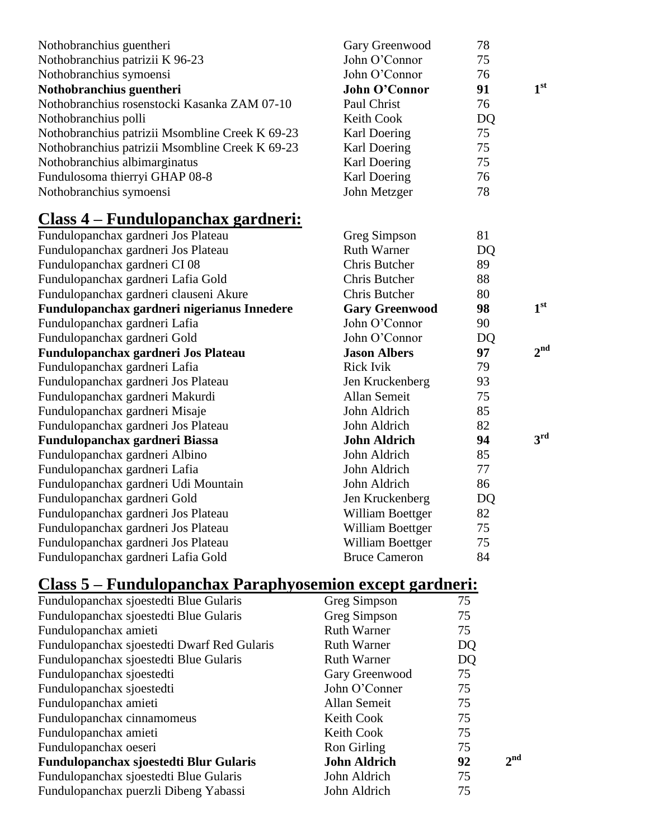| Nothobranchius guentheri                        | Gary Greenwood          | 78                    |
|-------------------------------------------------|-------------------------|-----------------------|
| Nothobranchius patrizii K 96-23                 | John O'Connor           | 75                    |
| Nothobranchius symoensi                         | John O'Connor           | 76<br>1 <sup>st</sup> |
| Nothobranchius guentheri                        | <b>John O'Connor</b>    | 91                    |
| Nothobranchius rosenstocki Kasanka ZAM 07-10    | Paul Christ             | 76                    |
| Nothobranchius polli                            | <b>Keith Cook</b>       | <b>DQ</b>             |
| Nothobranchius patrizii Msombline Creek K 69-23 | Karl Doering            | 75                    |
| Nothobranchius patrizii Msombline Creek K 69-23 | <b>Karl Doering</b>     | 75                    |
| Nothobranchius albimarginatus                   | Karl Doering            | 75                    |
| Fundulosoma thierryi GHAP 08-8                  | Karl Doering            | 76                    |
| Nothobranchius symoensi                         | John Metzger            | 78                    |
| <u> Class 4 – Fundulopanchax gardneri:</u>      |                         |                       |
| Fundulopanchax gardneri Jos Plateau             | Greg Simpson            | 81                    |
| Fundulopanchax gardneri Jos Plateau             | <b>Ruth Warner</b>      | <b>DQ</b>             |
| Fundulopanchax gardneri CI 08                   | <b>Chris Butcher</b>    | 89                    |
| Fundulopanchax gardneri Lafia Gold              | <b>Chris Butcher</b>    | 88                    |
| Fundulopanchax gardneri clauseni Akure          | Chris Butcher           | 80                    |
| Fundulopanchax gardneri nigerianus Innedere     | <b>Gary Greenwood</b>   | 1 <sup>st</sup><br>98 |
|                                                 |                         |                       |
| Fundulopanchax gardneri Lafia                   | John O'Connor           | 90                    |
| Fundulopanchax gardneri Gold                    | John O'Connor           | <b>DQ</b>             |
| Fundulopanchax gardneri Jos Plateau             | <b>Jason Albers</b>     | 2 <sub>nd</sub><br>97 |
| Fundulopanchax gardneri Lafia                   | <b>Rick Ivik</b>        | 79                    |
| Fundulopanchax gardneri Jos Plateau             | Jen Kruckenberg         | 93                    |
| Fundulopanchax gardneri Makurdi                 | <b>Allan Semeit</b>     | 75                    |
| Fundulopanchax gardneri Misaje                  | John Aldrich            | 85                    |
| Fundulopanchax gardneri Jos Plateau             | John Aldrich            | 82                    |
| Fundulopanchax gardneri Biassa                  | <b>John Aldrich</b>     | 3rd<br>94             |
| Fundulopanchax gardneri Albino                  | John Aldrich            | 85                    |
| Fundulopanchax gardneri Lafia                   | John Aldrich            | 77                    |
| Fundulopanchax gardneri Udi Mountain            | John Aldrich            | 86                    |
| Fundulopanchax gardneri Gold                    | Jen Kruckenberg         | <b>DQ</b>             |
| Fundulopanchax gardneri Jos Plateau             | William Boettger        | 82                    |
| Fundulopanchax gardneri Jos Plateau             | William Boettger        | 75                    |
| Fundulopanchax gardneri Jos Plateau             | <b>William Boettger</b> | 75                    |
| Fundulopanchax gardneri Lafia Gold              | <b>Bruce Cameron</b>    | 84                    |

# **Class 5 – Fundulopanchax Paraphyosemion except gardneri:**

| Fundulopanchax sjoestedti Blue Gularis      | Greg Simpson        | 75 |                 |
|---------------------------------------------|---------------------|----|-----------------|
| Fundulopanchax sjoestedti Blue Gularis      | Greg Simpson        | 75 |                 |
| Fundulopanchax amieti                       | <b>Ruth Warner</b>  | 75 |                 |
| Fundulopanchax sjoestedti Dwarf Red Gularis | <b>Ruth Warner</b>  | DQ |                 |
| Fundulopanchax sjoestedti Blue Gularis      | <b>Ruth Warner</b>  | DQ |                 |
| Fundulopanchax sjoestedti                   | Gary Greenwood      | 75 |                 |
| Fundulopanchax sjoestedti                   | John O'Conner       | 75 |                 |
| Fundulopanchax amieti                       | Allan Semeit        | 75 |                 |
| Fundulopanchax cinnamomeus                  | Keith Cook          | 75 |                 |
| Fundulopanchax amieti                       | Keith Cook          | 75 |                 |
| Fundulopanchax oeseri                       | Ron Girling         | 75 |                 |
| Fundulopanchax sjoestedti Blur Gularis      | <b>John Aldrich</b> | 92 | 2 <sup>nd</sup> |
| Fundulopanchax sjoestedti Blue Gularis      | John Aldrich        | 75 |                 |
| Fundulopanchax puerzli Dibeng Yabassi       | John Aldrich        | 75 |                 |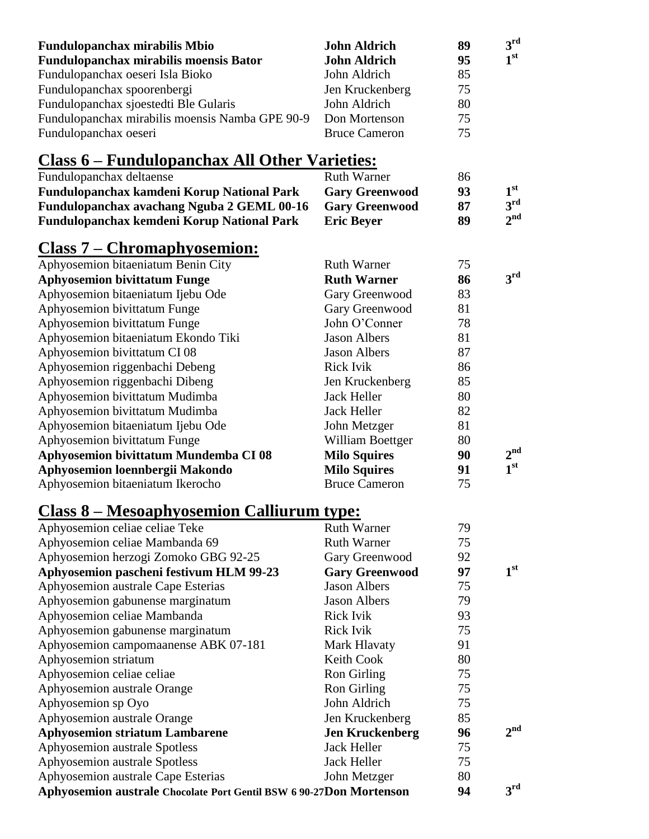| <b>Fundulopanchax mirabilis Mbio</b>            | <b>John Aldrich</b>  | 89 | $\mathbf{a}^{\text{rd}}$ |
|-------------------------------------------------|----------------------|----|--------------------------|
| Fundulopanchax mirabilis moensis Bator          | <b>John Aldrich</b>  | 95 | 1 <sup>st</sup>          |
| Fundulopanchax oeseri Isla Bioko                | John Aldrich         | 85 |                          |
| Fundulopanchax spoorenbergi                     | Jen Kruckenberg      | 75 |                          |
| Fundulopanchax sjoestedti Ble Gularis           | John Aldrich         | 80 |                          |
| Fundulopanchax mirabilis moensis Namba GPE 90-9 | Don Mortenson        | 75 |                          |
| Fundulopanchax oeseri                           | <b>Bruce Cameron</b> | 75 |                          |

# **Class 6 – Fundulopanchax All Other Varieties:**

| Fundulopanchax deltaense                   | <b>Ruth Warner</b>    | 86 |                       |
|--------------------------------------------|-----------------------|----|-----------------------|
| Fundulopanchax kamdeni Korup National Park | <b>Gary Greenwood</b> | 93 | 1 <sup>st</sup>       |
| Fundulopanchax avachang Nguba 2 GEML 00-16 | <b>Gary Greenwood</b> | 87 | $\mathbf{a}^{\rm rd}$ |
| Fundulopanchax kemdeni Korup National Park | <b>Eric Bever</b>     | 89 | $2^{\text{nd}}$       |
|                                            |                       |    |                       |

## **Class 7 – Chromaphyosemion:**

| Aphyosemion bitaeniatum Benin City    | <b>Ruth Warner</b>   | 75 |                 |
|---------------------------------------|----------------------|----|-----------------|
| <b>Aphyosemion bivittatum Funge</b>   | <b>Ruth Warner</b>   | 86 | 3rd             |
| Aphyosemion bitaeniatum Ijebu Ode     | Gary Greenwood       | 83 |                 |
| Aphyosemion bivittatum Funge          | Gary Greenwood       | 81 |                 |
| Aphyosemion bivittatum Funge          | John O'Conner        | 78 |                 |
| Aphyosemion bitaeniatum Ekondo Tiki   | <b>Jason Albers</b>  | 81 |                 |
| Aphyosemion bivittatum CI 08          | <b>Jason Albers</b>  | 87 |                 |
| Aphyosemion riggenbachi Debeng        | <b>Rick Ivik</b>     | 86 |                 |
| Aphyosemion riggenbachi Dibeng        | Jen Kruckenberg      | 85 |                 |
| Aphyosemion bivittatum Mudimba        | <b>Jack Heller</b>   | 80 |                 |
| Aphyosemion bivittatum Mudimba        | Jack Heller          | 82 |                 |
| Aphyosemion bitaeniatum Ijebu Ode     | John Metzger         | 81 |                 |
| Aphyosemion bivittatum Funge          | William Boettger     | 80 |                 |
| Aphyosemion bivittatum Mundemba CI 08 | <b>Milo Squires</b>  | 90 | 2 <sup>nd</sup> |
| Aphyosemion loennbergii Makondo       | <b>Milo Squires</b>  | 91 | 1 <sup>st</sup> |
| Aphyosemion bitaeniatum Ikerocho      | <b>Bruce Cameron</b> | 75 |                 |

## **Class 8 – Mesoaphyosemion Calliurum type:**

| Aphyosemion celiae celiae Teke                                      | <b>Ruth Warner</b>     | 79 |                 |
|---------------------------------------------------------------------|------------------------|----|-----------------|
| Aphyosemion celiae Mambanda 69                                      | <b>Ruth Warner</b>     | 75 |                 |
| Aphyosemion herzogi Zomoko GBG 92-25                                | Gary Greenwood         | 92 |                 |
| Aphyosemion pascheni festivum HLM 99-23                             | <b>Gary Greenwood</b>  | 97 | 1 <sup>st</sup> |
| Aphyosemion australe Cape Esterias                                  | <b>Jason Albers</b>    | 75 |                 |
| Aphyosemion gabunense marginatum                                    | <b>Jason Albers</b>    | 79 |                 |
| Aphyosemion celiae Mambanda                                         | <b>Rick Ivik</b>       | 93 |                 |
| Aphyosemion gabunense marginatum                                    | <b>Rick Ivik</b>       | 75 |                 |
| Aphyosemion campomaanense ABK 07-181                                | Mark Hlavaty           | 91 |                 |
| Aphyosemion striatum                                                | Keith Cook             | 80 |                 |
| Aphyosemion celiae celiae                                           | Ron Girling            | 75 |                 |
| Aphyosemion australe Orange                                         | Ron Girling            | 75 |                 |
| Aphyosemion sp Oyo                                                  | John Aldrich           | 75 |                 |
| Aphyosemion australe Orange                                         | Jen Kruckenberg        | 85 |                 |
| <b>Aphyosemion striatum Lambarene</b>                               | <b>Jen Kruckenberg</b> | 96 | 2 <sup>nd</sup> |
| Aphyosemion australe Spotless                                       | Jack Heller            | 75 |                 |
| Aphyosemion australe Spotless                                       | Jack Heller            | 75 |                 |
| Aphyosemion australe Cape Esterias                                  | John Metzger           | 80 |                 |
| Aphyosemion australe Chocolate Port Gentil BSW 6 90-27Don Mortenson |                        | 94 | 3 <sup>rd</sup> |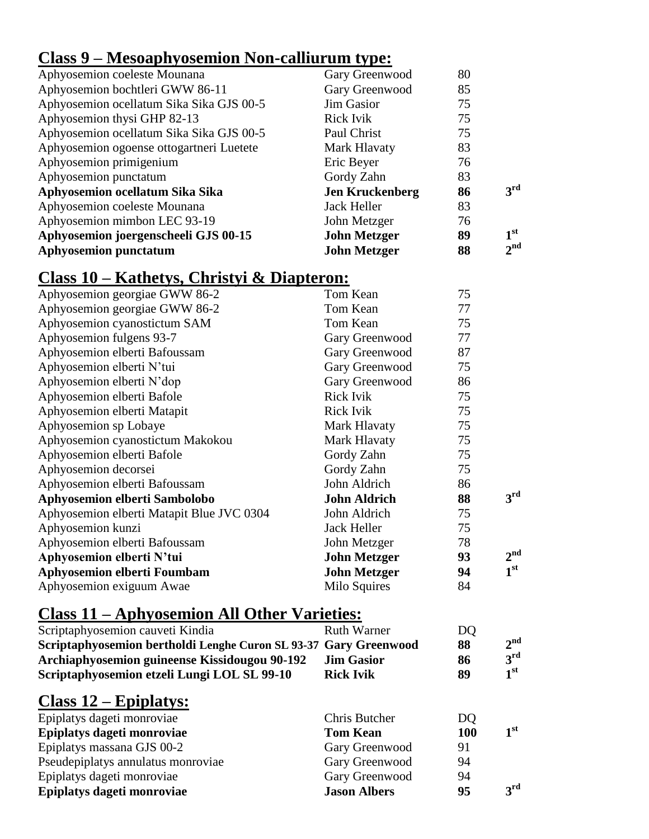#### **Class 9 – Mesoaphyosemion Non-calliurum type:**

| <b>Aphyosemion punctatum</b>             | <b>John Metzger</b>    | 88 | $2^{\text{nd}}$ |
|------------------------------------------|------------------------|----|-----------------|
| Aphyosemion joergenscheeli GJS 00-15     | <b>John Metzger</b>    | 89 | 1 <sup>st</sup> |
| Aphyosemion mimbon LEC 93-19             | John Metzger           | 76 |                 |
| Aphyosemion coeleste Mounana             | Jack Heller            | 83 |                 |
| Aphyosemion ocellatum Sika Sika          | <b>Jen Kruckenberg</b> | 86 | 3 <sup>rd</sup> |
| Aphyosemion punctatum                    | Gordy Zahn             | 83 |                 |
| Aphyosemion primigenium                  | Eric Beyer             | 76 |                 |
| Aphyosemion ogoense ottogartneri Luetete | Mark Hlavaty           | 83 |                 |
| Aphyosemion ocellatum Sika Sika GJS 00-5 | Paul Christ            | 75 |                 |
| Aphyosemion thysi GHP 82-13              | <b>Rick Ivik</b>       | 75 |                 |
| Aphyosemion ocellatum Sika Sika GJS 00-5 | Jim Gasior             | 75 |                 |
| Aphyosemion bochtleri GWW 86-11          | Gary Greenwood         | 85 |                 |
| Aphyosemion coeleste Mounana             | Gary Greenwood         | 80 |                 |

#### **Class 10 – Kathetys, Christyi & Diapteron:**

| Aphyosemion georgiae GWW 86-2             | Tom Kean            | 75 |                 |
|-------------------------------------------|---------------------|----|-----------------|
| Aphyosemion georgiae GWW 86-2             | Tom Kean            | 77 |                 |
| Aphyosemion cyanostictum SAM              | Tom Kean            | 75 |                 |
| Aphyosemion fulgens 93-7                  | Gary Greenwood      | 77 |                 |
| Aphyosemion elberti Bafoussam             | Gary Greenwood      | 87 |                 |
| Aphyosemion elberti N'tui                 | Gary Greenwood      | 75 |                 |
| Aphyosemion elberti N'dop                 | Gary Greenwood      | 86 |                 |
| Aphyosemion elberti Bafole                | <b>Rick Ivik</b>    | 75 |                 |
| Aphyosemion elberti Matapit               | <b>Rick Ivik</b>    | 75 |                 |
| Aphyosemion sp Lobaye                     | Mark Hlavaty        | 75 |                 |
| Aphyosemion cyanostictum Makokou          | Mark Hlavaty        | 75 |                 |
| Aphyosemion elberti Bafole                | Gordy Zahn          | 75 |                 |
| Aphyosemion decorsei                      | Gordy Zahn          | 75 |                 |
| Aphyosemion elberti Bafoussam             | John Aldrich        | 86 |                 |
| Aphyosemion elberti Sambolobo             | <b>John Aldrich</b> | 88 | 3 <sup>rd</sup> |
| Aphyosemion elberti Matapit Blue JVC 0304 | John Aldrich        | 75 |                 |
| Aphyosemion kunzi                         | Jack Heller         | 75 |                 |
| Aphyosemion elberti Bafoussam             | John Metzger        | 78 |                 |
| Aphyosemion elberti N'tui                 | <b>John Metzger</b> | 93 | 2 <sup>nd</sup> |
| <b>Aphyosemion elberti Foumbam</b>        | <b>John Metzger</b> | 94 | 1 <sup>st</sup> |
| Aphyosemion exiguum Awae                  | Milo Squires        | 84 |                 |

## **Class 11 – Aphyosemion All Other Varieties:**

| Scriptaphyosemion cauveti Kindia                                 | <b>Ruth Warner</b> | DQ |                 |
|------------------------------------------------------------------|--------------------|----|-----------------|
| Scriptaphyosemion bertholdi Lenghe Curon SL 93-37 Gary Greenwood |                    | 88 | $2^{\text{nd}}$ |
| Archiaphyosemion guineense Kissidougou 90-192                    | <b>Jim Gasior</b>  | 86 | $2^{\text{rd}}$ |
| Scriptaphyosemion etzeli Lungi LOL SL 99-10                      | <b>Rick Ivik</b>   | 89 | 1 <sup>st</sup> |

#### **Class 12 – Epiplatys:**

| Epiplatys dageti monroviae         | Chris Butcher       | DQ         |                 |
|------------------------------------|---------------------|------------|-----------------|
| Epiplatys dageti monroviae         | <b>Tom Kean</b>     | <b>100</b> | 1 <sup>st</sup> |
| Epiplatys massana GJS 00-2         | Gary Greenwood      | 91         |                 |
| Pseudepiplatys annulatus monroviae | Gary Greenwood      | 94         |                 |
| Epiplatys dageti monroviae         | Gary Greenwood      | 94         |                 |
| Epiplatys dageti monroviae         | <b>Jason Albers</b> | 95         | $2^{\text{rd}}$ |